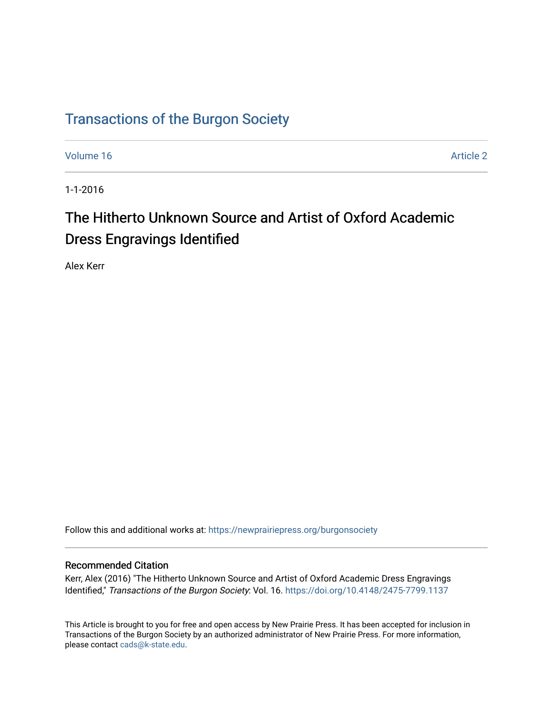## [Transactions of the Burgon Society](https://newprairiepress.org/burgonsociety)

[Volume 16](https://newprairiepress.org/burgonsociety/vol16) [Article 2](https://newprairiepress.org/burgonsociety/vol16/iss1/2) 

1-1-2016

# The Hitherto Unknown Source and Artist of Oxford Academic Dress Engravings Identified

Alex Kerr

Follow this and additional works at: [https://newprairiepress.org/burgonsociety](https://newprairiepress.org/burgonsociety?utm_source=newprairiepress.org%2Fburgonsociety%2Fvol16%2Fiss1%2F2&utm_medium=PDF&utm_campaign=PDFCoverPages)

#### Recommended Citation

Kerr, Alex (2016) "The Hitherto Unknown Source and Artist of Oxford Academic Dress Engravings Identified," Transactions of the Burgon Society: Vol. 16. https://doi.org/10.4148/2475-7799.1137

This Article is brought to you for free and open access by New Prairie Press. It has been accepted for inclusion in Transactions of the Burgon Society by an authorized administrator of New Prairie Press. For more information, please contact [cads@k-state.edu.](mailto:cads@k-state.edu)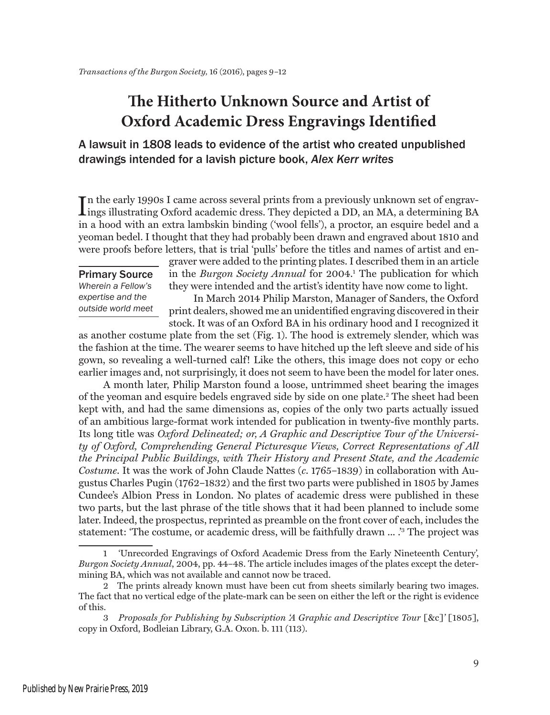### **The Hitherto Unknown Source and Artist of Oxford Academic Dress Engravings Identified**

### A lawsuit in 1808 leads to evidence of the artist who created unpublished drawings intended for a lavish picture book, *Alex Kerr writes*

In the early 1990s I came across several prints from a previously unknown set of engravings illustrating Oxford academic dress. They depicted a DD, an MA, a determining BA n the early 1990s I came across several prints from a previously unknown set of engravin a hood with an extra lambskin binding ('wool fells'), a proctor, an esquire bedel and a yeoman bedel. I thought that they had probably been drawn and engraved about 1810 and were proofs before letters, that is trial 'pulls' before the titles and names of artist and en-

### Primary Source

*Wherein a Fellow's expertise and the outside world meet* graver were added to the printing plates. I described them in an article in the *Burgon Society Annual* for 2004.1 The publication for which they were intended and the artist's identity have now come to light.

In March 2014 Philip Marston, Manager of Sanders, the Oxford print dealers, showed me an unidentified engraving discovered in their stock. It was of an Oxford BA in his ordinary hood and I recognized it

as another costume plate from the set (Fig. 1). The hood is extremely slender, which was the fashion at the time. The wearer seems to have hitched up the left sleeve and side of his gown, so revealing a well-turned calf! Like the others, this image does not copy or echo earlier images and, not surprisingly, it does not seem to have been the model for later ones.

A month later, Philip Marston found a loose, untrimmed sheet bearing the images of the yeoman and esquire bedels engraved side by side on one plate.2 The sheet had been kept with, and had the same dimensions as, copies of the only two parts actually issued of an ambitious large-format work intended for publication in twenty-five monthly parts. Its long title was *Oxford Delineated; or, A Graphic and Descriptive Tour of the University of Oxford, Comprehending General Picturesque Views, Correct Representations of All the Principal Public Buildings, with Their History and Present State, and the Academic Costume*. It was the work of John Claude Nattes (*c*. 1765–1839) in collaboration with Augustus Charles Pugin (1762–1832) and the first two parts were published in 1805 by James Cundee's Albion Press in London. No plates of academic dress were published in these two parts, but the last phrase of the title shows that it had been planned to include some later. Indeed, the prospectus, reprinted as preamble on the front cover of each, includes the statement: 'The costume, or academic dress, will be faithfully drawn ... .'3 The project was

<sup>1</sup> 'Unrecorded Engravings of Oxford Academic Dress from the Early Nineteenth Century', *Burgon Society Annual*, 2004, pp. 44–48. The article includes images of the plates except the determining BA, which was not available and cannot now be traced.

<sup>2</sup> The prints already known must have been cut from sheets similarly bearing two images. The fact that no vertical edge of the plate-mark can be seen on either the left or the right is evidence of this.

<sup>3</sup> *Proposals for Publishing by Subscription 'A Graphic and Descriptive Tour* [&c]*'* [1805], copy in Oxford, Bodleian Library, G.A. Oxon. b. 111 (113).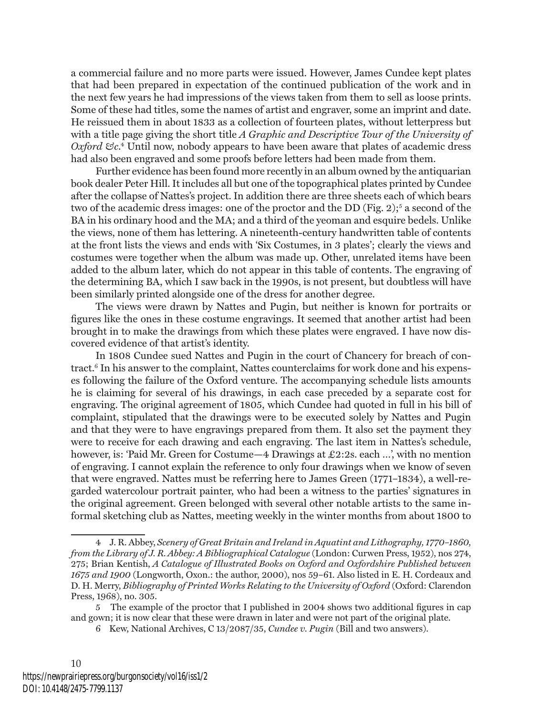a commercial failure and no more parts were issued. However, James Cundee kept plates that had been prepared in expectation of the continued publication of the work and in the next few years he had impressions of the views taken from them to sell as loose prints. Some of these had titles, some the names of artist and engraver, some an imprint and date. He reissued them in about 1833 as a collection of fourteen plates, without letterpress but with a title page giving the short title *A Graphic and Descriptive Tour of the University of Oxford &c*. 4 Until now, nobody appears to have been aware that plates of academic dress had also been engraved and some proofs before letters had been made from them.

Further evidence has been found more recently in an album owned by the antiquarian book dealer Peter Hill. It includes all but one of the topographical plates printed by Cundee after the collapse of Nattes's project. In addition there are three sheets each of which bears two of the academic dress images: one of the proctor and the DD (Fig. 2);<sup>5</sup> a second of the BA in his ordinary hood and the MA; and a third of the yeoman and esquire bedels. Unlike the views, none of them has lettering. A nineteenth-century handwritten table of contents at the front lists the views and ends with 'Six Costumes, in 3 plates'; clearly the views and costumes were together when the album was made up. Other, unrelated items have been added to the album later, which do not appear in this table of contents. The engraving of the determining BA, which I saw back in the 1990s, is not present, but doubtless will have been similarly printed alongside one of the dress for another degree.

The views were drawn by Nattes and Pugin, but neither is known for portraits or figures like the ones in these costume engravings. It seemed that another artist had been brought in to make the drawings from which these plates were engraved. I have now discovered evidence of that artist's identity.

In 1808 Cundee sued Nattes and Pugin in the court of Chancery for breach of contract.6 In his answer to the complaint, Nattes counterclaims for work done and his expenses following the failure of the Oxford venture. The accompanying schedule lists amounts he is claiming for several of his drawings, in each case preceded by a separate cost for engraving. The original agreement of 1805, which Cundee had quoted in full in his bill of complaint, stipulated that the drawings were to be executed solely by Nattes and Pugin and that they were to have engravings prepared from them. It also set the payment they were to receive for each drawing and each engraving. The last item in Nattes's schedule, however, is: 'Paid Mr. Green for Costume—4 Drawings at £2:2s. each …', with no mention of engraving. I cannot explain the reference to only four drawings when we know of seven that were engraved. Nattes must be referring here to James Green (1771–1834), a well-regarded watercolour portrait painter, who had been a witness to the parties' signatures in the original agreement. Green belonged with several other notable artists to the same informal sketching club as Nattes, meeting weekly in the winter months from about 1800 to

<sup>4</sup> J. R. Abbey, *Scenery of Great Britain and Ireland in Aquatint and Lithography, 1770–1860, from the Library of J. R. Abbey: A Bibliographical Catalogue* (London: Curwen Press, 1952), nos 274, 275; Brian Kentish, *A Catalogue of Illustrated Books on Oxford and Oxfordshire Published between 1675 and 1900* (Longworth, Oxon.: the author, 2000), nos 59–61. Also listed in E. H. Cordeaux and D. H. Merry, *Bibliography of Printed Works Relating to the University of Oxford* (Oxford: Clarendon Press, 1968), no. 305.

<sup>5</sup> The example of the proctor that I published in 2004 shows two additional figures in cap and gown; it is now clear that these were drawn in later and were not part of the original plate.

<sup>6</sup> Kew, National Archives, C 13/2087/35, *Cundee v. Pugin* (Bill and two answers).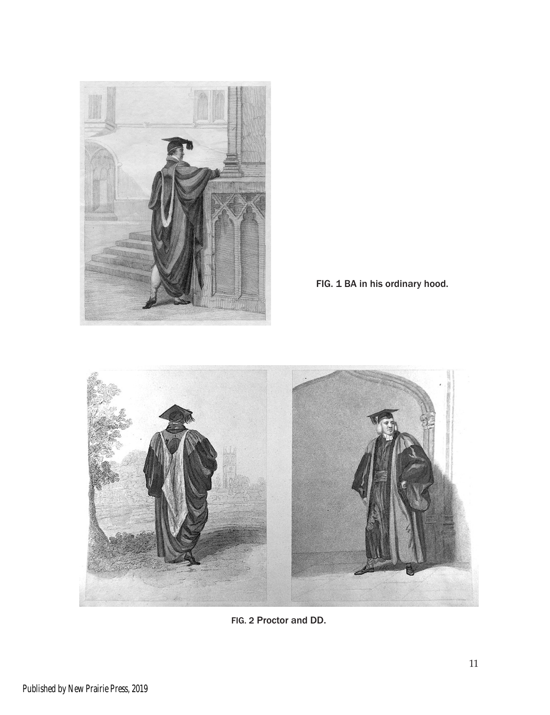

FIG. 1 BA in his ordinary hood.



FIG. 2 Proctor and DD.